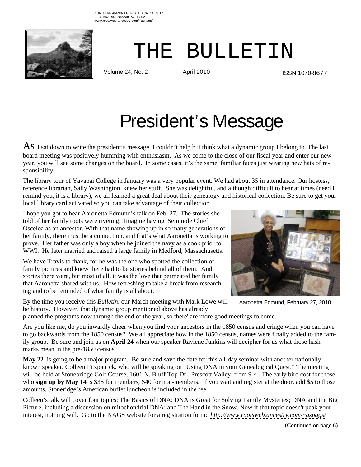

 $THE$  BULLET IN THE BULLETIN

ISSN 1070-8677

# President's Message

 $\overline{AS}$  I sat down to write the president's message, I couldn't help but think what a dynamic group I belong to. The last board meeting was positively humming with enthusiasm. As we come to the close of our fiscal year and enter our new year, you will see some changes on the board. In some cases, it's the same, familiar faces just wearing new hats of responsibility.

The library tour of Yavapai College in January was a very popular event. We had about 35 in attendance. Our hostess, reference librarian, Sally Washington, knew her stuff. She was delightful, and although difficult to hear at times (need I remind you, it is a library), we all learned a great deal about their genealogy and historical collection. Be sure to get your local library card activated so you can take advantage of their collection.

I hope you got to hear Aaronetta Edmund's talk on Feb. 27. The stories she told of her family roots were riveting. Imagine having Seminole Chief Osceloa as an ancestor. With that name showing up in so many generations of her family, there must be a connection, and that's what Aaronetta is working to prove. Her father was only a boy when he joined the navy as a cook prior to WWI. He later married and raised a large family in Medford, Massachusetts.

We have Travis to thank, for he was the one who spotted the collection of family pictures and knew there had to be stories behind all of them. And stories there were, but most of all, it was the love that permeated her family that Aaronetta shared with us. How refreshing to take a break from researching and to be reminded of what family is all about.

By the time you receive this *Bulletin*, our March meeting with Mark Lowe will be history. However, that dynamic group mentioned above has already



Aaronetta Edmund, February 27, 2010

planned the programs now through the end of the year, so there' are more good meetings to come.

Are you like me, do you inwardly cheer when you find your ancestors in the 1850 census and cringe when you can have to go backwards from the 1850 census? We all appreciate how in the 1850 census, names were finally added to the family group. Be sure and join us on **April 24** when our speaker Raylene Junkins will decipher for us what those hash marks mean in the pre-1850 census.

**May 22** is going to be a major program. Be sure and save the date for this all-day seminar with another nationally known speaker, Colleen Fitzpatrick, who will be speaking on "Using DNA in your Genealogical Quest." The meeting will be held at Stonebridge Golf Course, 1601 N. Bluff Top Dr., Prescott Valley, from 9-4. The early bird cost for those who **sign up by May 14** is \$35 for members; \$40 for non-members. If you wait and register at the door, add \$5 to those amounts. Stoneridge's American buffet luncheon is included in the fee.

Colleen's talk will cover four topics: The Basics of DNA; DNA is Great for Solving Family Mysteries; DNA and the Big Picture, including a discussion on mitochondrial DNA; and The Hand in the Snow. Now if that topic doesn't peak your interest, nothing will. Go to the NAGS website for a registration form: *<http://www.rootsweb.ancestry.com/~aznags/>*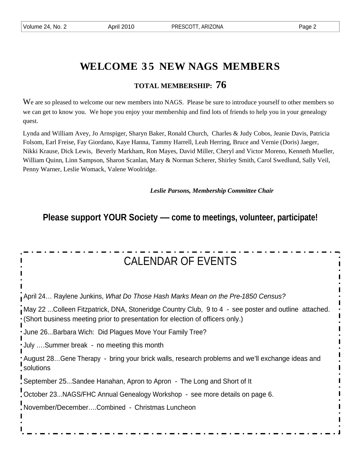### **WELCOME 3 5 NEW NAGS MEMBERS**

### **TOTAL MEMBERSHIP: 76**

We are so pleased to welcome our new members into NAGS. Please be sure to introduce yourself to other members so we can get to know you. We hope you enjoy your membership and find lots of friends to help you in your genealogy quest.

Lynda and William Avey, Jo Arnspiger, Sharyn Baker, Ronald Church, Charles & Judy Cobos, Jeanie Davis, Patricia Folsom, Earl Freise, Fay Giordano, Kaye Hanna, Tammy Harrell, Leah Herring, Bruce and Vernie (Doris) Jaeger, Nikki Krause, Dick Lewis, Beverly Markham, Ron Mayes, David Miller, Cheryl and Victor Moreno, Kenneth Mueller, William Quinn, Linn Sampson, Sharon Scanlan, Mary & Norman Scherer, Shirley Smith, Carol Swedlund, Sally Veil, Penny Warner, Leslie Womack, Valene Woolridge.

*Leslie Parsons, Membership Committee Chair*

**Please support YOUR Society — come to meetings, volunteer, participate!**

| <b>CALENDAR OF EVENTS</b>                                                                                                                                                              |
|----------------------------------------------------------------------------------------------------------------------------------------------------------------------------------------|
|                                                                                                                                                                                        |
| April 24 Raylene Junkins, What Do Those Hash Marks Mean on the Pre-1850 Census?                                                                                                        |
| May 22 Colleen Fitzpatrick, DNA, Stoneridge Country Club, 9 to 4 - see poster and outline attached.<br>. (Short business meeting prior to presentation for election of officers only.) |
| · June 26Barbara Wich: Did Plagues Move Your Family Tree?                                                                                                                              |
| July Summer break - no meeting this month                                                                                                                                              |
| : August 28Gene Therapy - bring your brick walls, research problems and we'll exchange ideas and<br>solutions                                                                          |
| September 25Sandee Hanahan, Apron to Apron - The Long and Short of It                                                                                                                  |
| October 23NAGS/FHC Annual Genealogy Workshop - see more details on page 6.                                                                                                             |
| November/DecemberCombined - Christmas Luncheon                                                                                                                                         |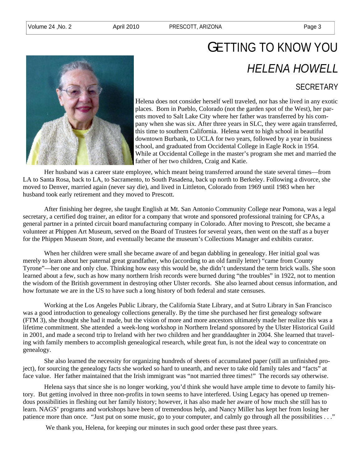

## GETTING TO KNOW YOU HELENA HOWELL

### SECRETARY

Helena does not consider herself well traveled, nor has she lived in any exotic places. Born in Pueblo, Colorado (not the garden spot of the West), her parents moved to Salt Lake City where her father was transferred by his company when she was six. After three years in SLC, they were again transferred, this time to southern California. Helena went to high school in beautiful downtown Burbank, to UCLA for two years, followed by a year in business school, and graduated from Occidental College in Eagle Rock in 1954. While at Occidental College in the master's program she met and married the father of her two children, Craig and Katie.

Her husband was a career state employee, which meant being transferred around the state several times—from LA to Santa Rosa, back to LA, to Sacramento, to South Pasadena, back up north to Berkeley. Following a divorce, she moved to Denver, married again (never say die), and lived in Littleton, Colorado from 1969 until 1983 when her husband took early retirement and they moved to Prescott.

After finishing her degree, she taught English at Mt. San Antonio Community College near Pomona, was a legal secretary, a certified dog trainer, an editor for a company that wrote and sponsored professional training for CPAs, a general partner in a printed circuit board manufacturing company in Colorado. After moving to Prescott, she became a volunteer at Phippen Art Museum, served on the Board of Trustees for several years, then went on the staff as a buyer for the Phippen Museum Store, and eventually became the museum's Collections Manager and exhibits curator.

When her children were small she became aware of and began dabbling in genealogy. Her initial goal was merely to learn about her paternal great grandfather, who (according to an old family letter) "came from County Tyrone"—her one and only clue. Thinking how easy this would be, she didn't understand the term brick walls. She soon learned about a few, such as how many northern Irish records were burned during "the troubles" in 1922, not to mention the wisdom of the British government in destroying other Ulster records. She also learned about census information, and how fortunate we are in the US to have such a long history of both federal and state censuses.

Working at the Los Angeles Public Library, the California State Library, and at Sutro Library in San Francisco was a good introduction to genealogy collections generally. By the time she purchased her first genealogy software (FTM 3), she thought she had it made, but the vision of more and more ancestors ultimately made her realize this was a lifetime commitment. She attended a week-long workshop in Northern Ireland sponsored by the Ulster Historical Guild in 2001, and made a second trip to Ireland with her two children and her granddaughter in 2004. She learned that traveling with family members to accomplish genealogical research, while great fun, is not the ideal way to concentrate on genealogy.

She also learned the necessity for organizing hundreds of sheets of accumulated paper (still an unfinished project), for sourcing the genealogy facts she worked so hard to unearth, and never to take old family tales and "facts" at face value. Her father maintained that the Irish immigrant was "not married three times!" The records say otherwise.

Helena says that since she is no longer working, you'd think she would have ample time to devote to family history. But getting involved in three non-profits in town seems to have interfered. Using Legacy has opened up tremendous possibilities in fleshing out her family history; however, it has also made her aware of how much she still has to learn. NAGS' programs and workshops have been of tremendous help, and Nancy Miller has kept her from losing her patience more than once. "Just put on some music, go to your computer, and calmly go through all the possibilities . . ."

We thank you, Helena, for keeping our minutes in such good order these past three years.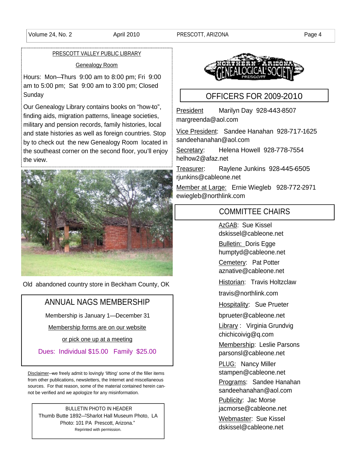#### PRESCOTT VALLEY PUBLIC LIBRARY

#### Genealogy Room

Hours: Mon—Thurs 9:00 am to 8:00 pm; Fri 9:00 am to 5:00 pm; Sat 9:00 am to 3:00 pm; Closed Sunday **Sunday Sunday Sunday Sunday CONSIDERS EQR 2009-2010** 

Our Genealogy Library contains books on "how-to", finding aids, migration patterns, lineage societies,<br>margreenda@aol.com military and pension records, family histories, local and state histories as well as foreign countries. Stop <br>hy to shock out, the new Canadagy Beam Jessical in sandeehanahan@aol.com by to check out the new Genealogy Room located in the southeast corner on the second floor, you'll enjoy the view. The view and the view of the view of the view of the view of the view of the view of the view of the  $\frac{1}{2}$ 



Old abandoned country store in Beckham County, OK

#### ANNUAL NAGS MEMBERSHIP

Membership is January 1— December 31

Membership forms are on our website

or pick one up at a meeting and the state of the state of the state of the state of the state of the state of the state of the state of the state of the state of the state of the state of the state of the state of the stat

Dues: Individual \$15.00 Family \$25.00 | parsonsl@cableone.net

Disclaimer—we freely admit to lovingly 'lifting' some of the filler items from other publications, newsletters, the Internet and miscellaneous sources. For that reason, some of the material contained herein cannot be verified and we apologize for any misinformation.<br>
not be verified and we apologize for any misinformation.

BULLETIN PHOTO IN HEADER **EXECUTE:** in the state of the state of the state of the state of the state of the state of the state of the state of the state of the state of the state of the state of the state of the state of t Thumb Butte 1892—"Sharlot Hall Museum Photo, LA Photo: 101 PA Prescott, Arizona."<br>
Spacifical vith particology Reprinted with permission.



### OFFICERS FOR 2009-2010

President Marilyn Day 928-443-8507 margreenda@aol.com

Vice President: Sandee Hanahan 928-717-1625 sandeehanahan@aol.com

Secretary: Helena Howell 928-778-7554 helhow2@afaz.net

Treasurer: Raylene Junkins 928-445-6505 rjunkins@cableone.net

Member at Large: Ernie Wiegleb 928-772-2971 ewiegleb@northlink.com

#### COMMITTEE CHAIRS

<u>AzGAB</u>: Sue Kissel<br>dskissel@cableone.net

Bulletin: Doris Egge humptyd@cableone.net

Cemetery: Pat Potter aznative@cableone.net

Historian: Travis Holtzclaw

travis@northlink.com

**Hospitality:** Sue Prueter

bprueter@cableone.net

Library : Virginia Grundvig chichicoivig@q.com

<u>Membership</u>: Leslie Parsons<br>parsonsl@cableone.net

PLUG: Nancy Miller stampen@cableone.net

Programs: Sandee Hanahan sandeehanahan@aol.com Publicity: Jac Morse jacmorse@cableone.net<br><u>Webmaster</u>: Sue Kissel<br>dskissel@cableone.net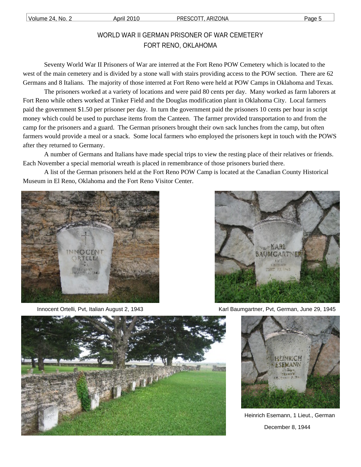### WORLD WAR II GERMAN PRISONER OF WAR CEMETERY FORT RENO, OKLAHOMA

Seventy World War II Prisoners of War are interred at the Fort Reno POW Cemetery which is located to the west of the main cemetery and is divided by a stone wall with stairs providing access to the POW section. There are 62 Germans and 8 Italians. The majority of those interred at Fort Reno were held at POW Camps in Oklahoma and Texas. The prisoners worked at a variety of locations and were paid 80 cents per day. Many worked as farm laborers at

Fort Reno while others worked at Tinker Field and the Douglas modification plant in Oklahoma City. Local farmers paid the government \$1.50 per prisoner per day. In turn the government paid the prisoners 10 cents per hour in script money which could be used to purchase items from the Canteen. The farmer provided transportation to and from the camp for the prisoners and a guard. The German prisoners brought their own sack lunches from the camp, but often farmers would provide a meal or a snack. Some local farmers who employed the prisoners kept in touch with the POWS after they returned to Germany. A number of Germans and Italians have made special trips to view the resting place of their relatives or friends.

Each November a special memorial wreath is placed in remembrance of those prisoners buried there. A list of the German prisoners held at the Fort Reno POW Camp is located at the Canadian County Historical

Museum in El Reno, Oklahoma and the Fort Reno Visitor Center.





Innocent Ortelli, Pvt, Italian August 2, 1943 Karl Baumgartner, Pvt, German, June 29, 1945





Heinrich Esemann, 1 Lieut., German December 8, 1944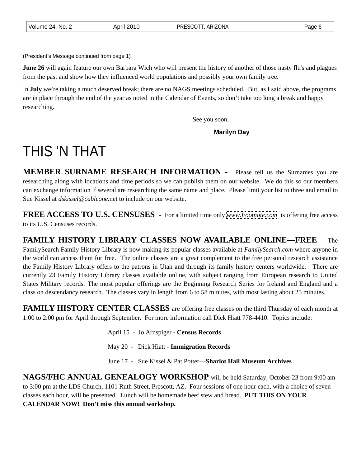(President's Message continued from page 1)

**June 26** will again feature our own Barbara Wich who will present the history of another of those nasty flu's and plagues from the past and show how they influenced world populations and possibly your own family tree.

In **July** we're taking a much deserved break; there are no NAGS meetings scheduled. But, as I said above, the programs are in place through the end of the year as noted in the Calendar of Events, so don't take too long a break and happy researching.

See you soon,

#### **Marilyn Day**

## THIS 'N THAT

**MEMBER SURNAME RESEARCH INFORMATION -** Please tell us the Surnames youare researching along with locations and time periods so we can publish them on our website. We do this so our members can exchange information if several are researching the same name and place. Please limit your list to three and email to Sue Kissel at *dskissel@cableone*.net to include on our website.

**FREE ACCESS TO U.S. CENSUSES** - For a limited time only *[www.Footnote.com](http://www.Footnote.com)* is offering free access to its U.S. Censuses records.

**FAMILY HISTORY LIBRARY CLASSES NOW AVAILABLE ONLINE—FREE** The FamilySearch Family History Library is now making its popular classes available at *FamilySearch.com* where anyone in the world can access them for free. The online classes are a great complement to the free personal research assistance the Family History Library offers to the patrons in Utah and through its family history centers worldwide. There are currently 23 Family History Library classes available online, with subject ranging from European research to United States Military records. The most popular offerings are the Beginning Research Series for Ireland and England and a class on descendancy research. The classes vary in length from 6 to 58 minutes, with most lasting about 25 minutes.

**FAMILY HISTORY CENTER CLASSES** are offering free classes on the third Thursday of each month at 1:00 to 2:00 pm for April through September. For more information call Dick Hiatt 778-4410. Topics include:

April 15 - Jo Arnspiger - **Census Records**

May 20 - Dick Hiatt - **Immigration Records**

June 17 - Sue Kissel & Pat Potter—**Sharlot Hall Museum Archives**

**NAGS/FHC ANNUAL GENEALOGY WORKSHOP** will be held Saturday, October 23 from 9:00 am to 3:00 pm at the LDS Church, 1101 Ruth Street, Prescott, AZ. Four sessions of one hour each, with a choice of seven classes each hour, will be presented. Lunch will be homemade beef stew and bread. **PUT THIS ON YOUR CALENDAR NOW! Don't miss this annual workshop.**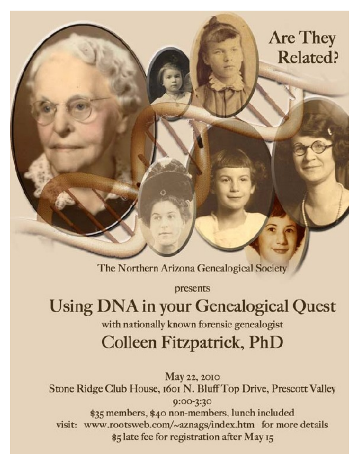## **Are They Related?**

The Northern Arizona Genealogical Society

presents

Using DNA in your Genealogical Quest

with nationally known forensic genealogist

## Colleen Fitzpatrick, PhD

May 22, 2010 Stone Ridge Club House, 1601 N. Bluff Top Drive, Prescott Valley 0:00-3:30 \$35 members, \$40 non-members, lunch included visit: www.rootsweb.com/~aznags/index.htm for more details \$5 late fee for registration after May 15